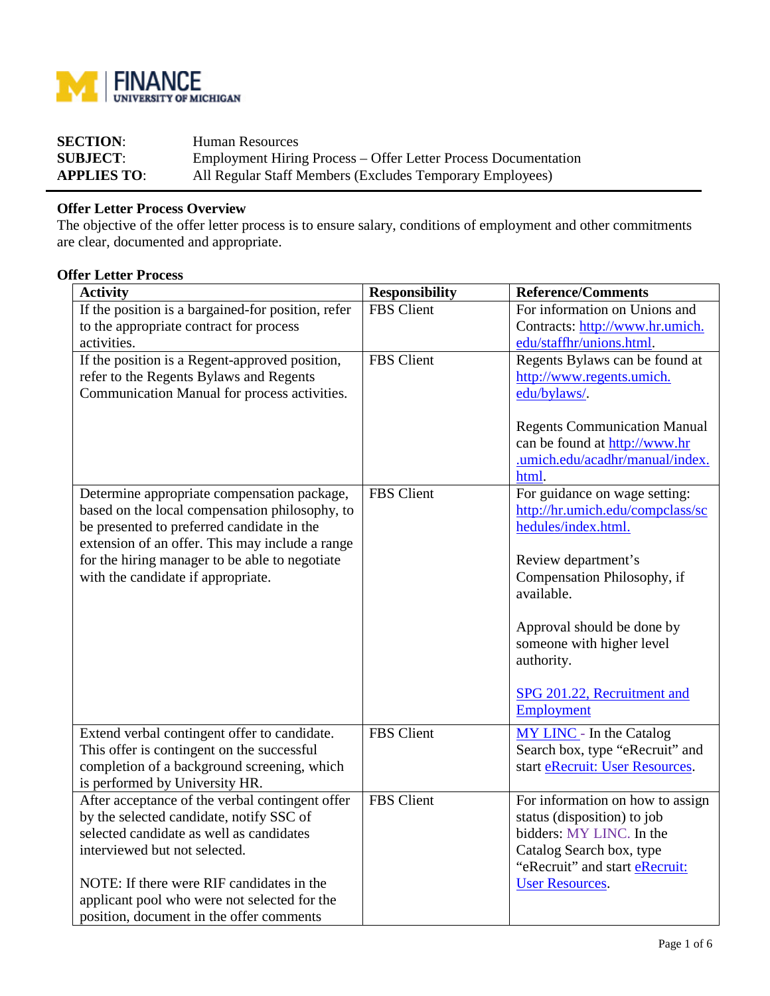

| <b>SECTION:</b>    | Human Resources                                                |
|--------------------|----------------------------------------------------------------|
| <b>SUBJECT:</b>    | Employment Hiring Process – Offer Letter Process Documentation |
| <b>APPLIES TO:</b> | All Regular Staff Members (Excludes Temporary Employees)       |

## **Offer Letter Process Overview**

The objective of the offer letter process is to ensure salary, conditions of employment and other commitments are clear, documented and appropriate.

## **Offer Letter Process**

| <b>Activity</b>                                                           | <b>Responsibility</b> | <b>Reference/Comments</b>                                         |
|---------------------------------------------------------------------------|-----------------------|-------------------------------------------------------------------|
| If the position is a bargained-for position, refer                        | <b>FBS</b> Client     | For information on Unions and                                     |
| to the appropriate contract for process                                   |                       | Contracts: http://www.hr.umich.                                   |
| activities.                                                               |                       | edu/staffhr/unions.html.                                          |
| If the position is a Regent-approved position,                            | FBS Client            | Regents Bylaws can be found at                                    |
| refer to the Regents Bylaws and Regents                                   |                       | http://www.regents.umich.                                         |
| Communication Manual for process activities.                              |                       | edu/bylaws/.                                                      |
|                                                                           |                       |                                                                   |
|                                                                           |                       | <b>Regents Communication Manual</b>                               |
|                                                                           |                       | can be found at http://www.hr                                     |
|                                                                           |                       | .umich.edu/acadhr/manual/index.                                   |
|                                                                           |                       | html.                                                             |
| Determine appropriate compensation package,                               | FBS Client            | For guidance on wage setting:                                     |
| based on the local compensation philosophy, to                            |                       | http://hr.umich.edu/compclass/sc                                  |
| be presented to preferred candidate in the                                |                       | hedules/index.html.                                               |
| extension of an offer. This may include a range                           |                       |                                                                   |
| for the hiring manager to be able to negotiate                            |                       | Review department's                                               |
| with the candidate if appropriate.                                        |                       | Compensation Philosophy, if                                       |
|                                                                           |                       | available.                                                        |
|                                                                           |                       | Approval should be done by                                        |
|                                                                           |                       | someone with higher level                                         |
|                                                                           |                       | authority.                                                        |
|                                                                           |                       |                                                                   |
|                                                                           |                       | SPG 201.22, Recruitment and                                       |
|                                                                           |                       | Employment                                                        |
|                                                                           |                       |                                                                   |
| Extend verbal contingent offer to candidate.                              | <b>FBS</b> Client     | MY LINC - In the Catalog                                          |
| This offer is contingent on the successful                                |                       | Search box, type "eRecruit" and                                   |
| completion of a background screening, which                               |                       | start eRecruit: User Resources.                                   |
| is performed by University HR.                                            |                       |                                                                   |
| After acceptance of the verbal contingent offer                           | <b>FBS</b> Client     | For information on how to assign                                  |
| by the selected candidate, notify SSC of                                  |                       | status (disposition) to job                                       |
| selected candidate as well as candidates<br>interviewed but not selected. |                       | bidders: MY LINC. In the                                          |
|                                                                           |                       | Catalog Search box, type<br>"eRecruit" and start <b>eRecruit:</b> |
| NOTE: If there were RIF candidates in the                                 |                       | <b>User Resources.</b>                                            |
| applicant pool who were not selected for the                              |                       |                                                                   |
|                                                                           |                       |                                                                   |
| position, document in the offer comments                                  |                       |                                                                   |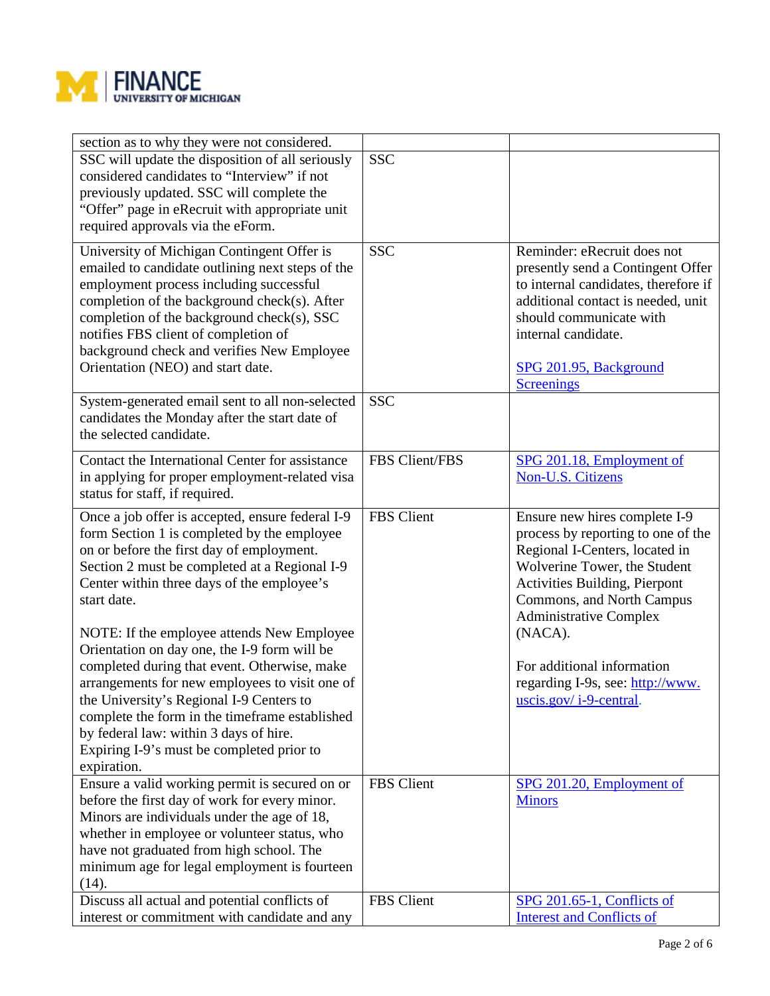

| section as to why they were not considered.<br>SSC will update the disposition of all seriously<br>considered candidates to "Interview" if not<br>previously updated. SSC will complete the<br>"Offer" page in eRecruit with appropriate unit<br>required approvals via the eForm.                                                                                                               | <b>SSC</b>     |                                                                                                                                                                                                                                                 |
|--------------------------------------------------------------------------------------------------------------------------------------------------------------------------------------------------------------------------------------------------------------------------------------------------------------------------------------------------------------------------------------------------|----------------|-------------------------------------------------------------------------------------------------------------------------------------------------------------------------------------------------------------------------------------------------|
| University of Michigan Contingent Offer is<br>emailed to candidate outlining next steps of the<br>employment process including successful<br>completion of the background check(s). After<br>completion of the background check(s), SSC<br>notifies FBS client of completion of<br>background check and verifies New Employee<br>Orientation (NEO) and start date.                               | <b>SSC</b>     | Reminder: eRecruit does not<br>presently send a Contingent Offer<br>to internal candidates, therefore if<br>additional contact is needed, unit<br>should communicate with<br>internal candidate.<br>SPG 201.95, Background<br><b>Screenings</b> |
| System-generated email sent to all non-selected<br>candidates the Monday after the start date of<br>the selected candidate.                                                                                                                                                                                                                                                                      | <b>SSC</b>     |                                                                                                                                                                                                                                                 |
| Contact the International Center for assistance<br>in applying for proper employment-related visa<br>status for staff, if required.                                                                                                                                                                                                                                                              | FBS Client/FBS | SPG 201.18, Employment of<br>Non-U.S. Citizens                                                                                                                                                                                                  |
| Once a job offer is accepted, ensure federal I-9<br>form Section 1 is completed by the employee<br>on or before the first day of employment.<br>Section 2 must be completed at a Regional I-9<br>Center within three days of the employee's<br>start date.                                                                                                                                       | FBS Client     | Ensure new hires complete I-9<br>process by reporting to one of the<br>Regional I-Centers, located in<br>Wolverine Tower, the Student<br>Activities Building, Pierpont<br>Commons, and North Campus<br><b>Administrative Complex</b>            |
| NOTE: If the employee attends New Employee<br>Orientation on day one, the I-9 form will be<br>completed during that event. Otherwise, make<br>arrangements for new employees to visit one of<br>the University's Regional I-9 Centers to<br>complete the form in the timeframe established<br>by federal law: within 3 days of hire.<br>Expiring I-9's must be completed prior to<br>expiration. |                | (NACA).<br>For additional information<br>regarding I-9s, see: http://www.<br>$uscis.gov/i-9-central.$                                                                                                                                           |
| Ensure a valid working permit is secured on or<br>before the first day of work for every minor.<br>Minors are individuals under the age of 18,<br>whether in employee or volunteer status, who<br>have not graduated from high school. The<br>minimum age for legal employment is fourteen<br>(14).                                                                                              | FBS Client     | SPG 201.20, Employment of<br><b>Minors</b>                                                                                                                                                                                                      |
| Discuss all actual and potential conflicts of<br>interest or commitment with candidate and any                                                                                                                                                                                                                                                                                                   | FBS Client     | <b>SPG 201.65-1, Conflicts of</b><br><b>Interest and Conflicts of</b>                                                                                                                                                                           |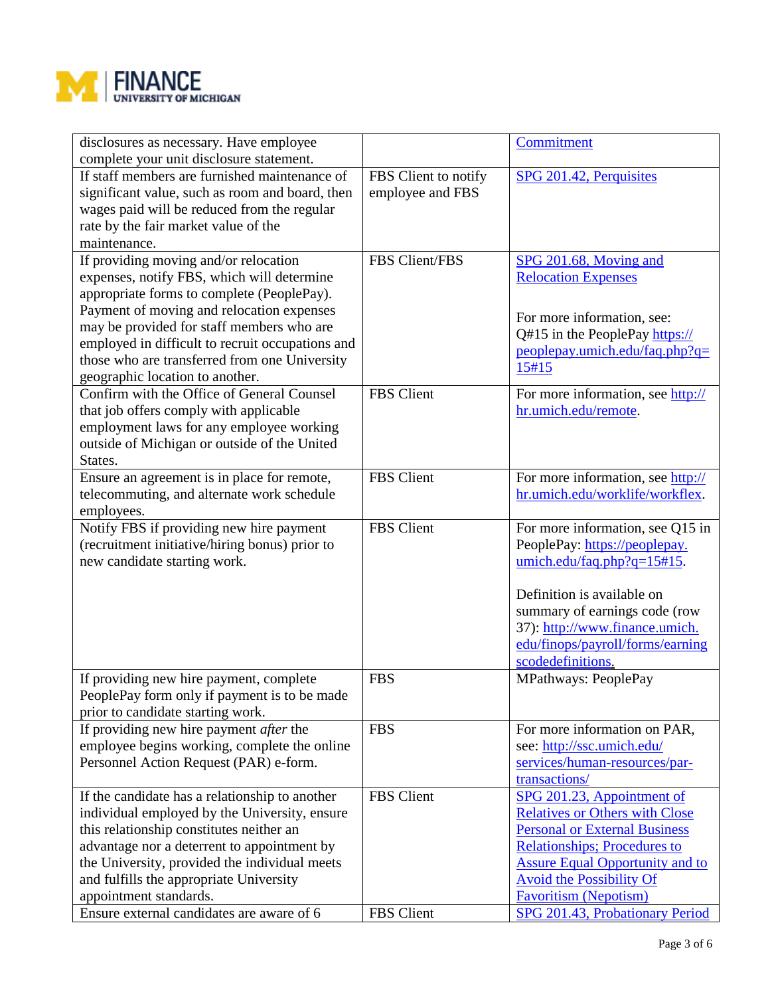

| disclosures as necessary. Have employee<br>complete your unit disclosure statement. |                      | Commitment                             |
|-------------------------------------------------------------------------------------|----------------------|----------------------------------------|
|                                                                                     |                      |                                        |
| If staff members are furnished maintenance of                                       | FBS Client to notify | SPG 201.42, Perquisites                |
| significant value, such as room and board, then                                     | employee and FBS     |                                        |
| wages paid will be reduced from the regular                                         |                      |                                        |
| rate by the fair market value of the                                                |                      |                                        |
| maintenance.                                                                        |                      |                                        |
| If providing moving and/or relocation                                               | FBS Client/FBS       | SPG 201.68, Moving and                 |
| expenses, notify FBS, which will determine                                          |                      | <b>Relocation Expenses</b>             |
| appropriate forms to complete (PeoplePay).                                          |                      |                                        |
| Payment of moving and relocation expenses                                           |                      |                                        |
| may be provided for staff members who are                                           |                      | For more information, see:             |
| employed in difficult to recruit occupations and                                    |                      | Q#15 in the PeoplePay https://         |
| those who are transferred from one University                                       |                      | peoplepay.umich.edu/faq.php?q=         |
| geographic location to another.                                                     |                      | 15#15                                  |
| Confirm with the Office of General Counsel                                          | FBS Client           | For more information, see http://      |
| that job offers comply with applicable                                              |                      | hr.umich.edu/remote.                   |
|                                                                                     |                      |                                        |
| employment laws for any employee working                                            |                      |                                        |
| outside of Michigan or outside of the United                                        |                      |                                        |
| States.                                                                             |                      |                                        |
| Ensure an agreement is in place for remote,                                         | <b>FBS</b> Client    | For more information, see http://      |
| telecommuting, and alternate work schedule                                          |                      | hr.umich.edu/worklife/workflex.        |
| employees.                                                                          |                      |                                        |
| Notify FBS if providing new hire payment                                            | <b>FBS</b> Client    | For more information, see Q15 in       |
| (recruitment initiative/hiring bonus) prior to                                      |                      | PeoplePay: https://peoplepay.          |
| new candidate starting work.                                                        |                      | $umich.edu/faq.php?q=15#15.$           |
|                                                                                     |                      |                                        |
|                                                                                     |                      | Definition is available on             |
|                                                                                     |                      | summary of earnings code (row          |
|                                                                                     |                      | 37): http://www.finance.umich.         |
|                                                                                     |                      | edu/finops/payroll/forms/earning       |
|                                                                                     |                      | scodedefinitions.                      |
| If providing new hire payment, complete                                             | <b>FBS</b>           | MPathways: PeoplePay                   |
| PeoplePay form only if payment is to be made                                        |                      |                                        |
| prior to candidate starting work.                                                   |                      |                                        |
| If providing new hire payment after the                                             | <b>FBS</b>           | For more information on PAR,           |
| employee begins working, complete the online                                        |                      | see: http://ssc.umich.edu/             |
| Personnel Action Request (PAR) e-form.                                              |                      | services/human-resources/par-          |
|                                                                                     |                      | transactions/                          |
|                                                                                     | <b>FBS</b> Client    |                                        |
| If the candidate has a relationship to another                                      |                      | SPG 201.23, Appointment of             |
| individual employed by the University, ensure                                       |                      | <b>Relatives or Others with Close</b>  |
| this relationship constitutes neither an                                            |                      | <b>Personal or External Business</b>   |
| advantage nor a deterrent to appointment by                                         |                      | <b>Relationships; Procedures to</b>    |
| the University, provided the individual meets                                       |                      | <b>Assure Equal Opportunity and to</b> |
| and fulfills the appropriate University                                             |                      | <b>Avoid the Possibility Of</b>        |
| appointment standards.                                                              |                      | <b>Favoritism (Nepotism)</b>           |
| Ensure external candidates are aware of 6                                           | FBS Client           | SPG 201.43, Probationary Period        |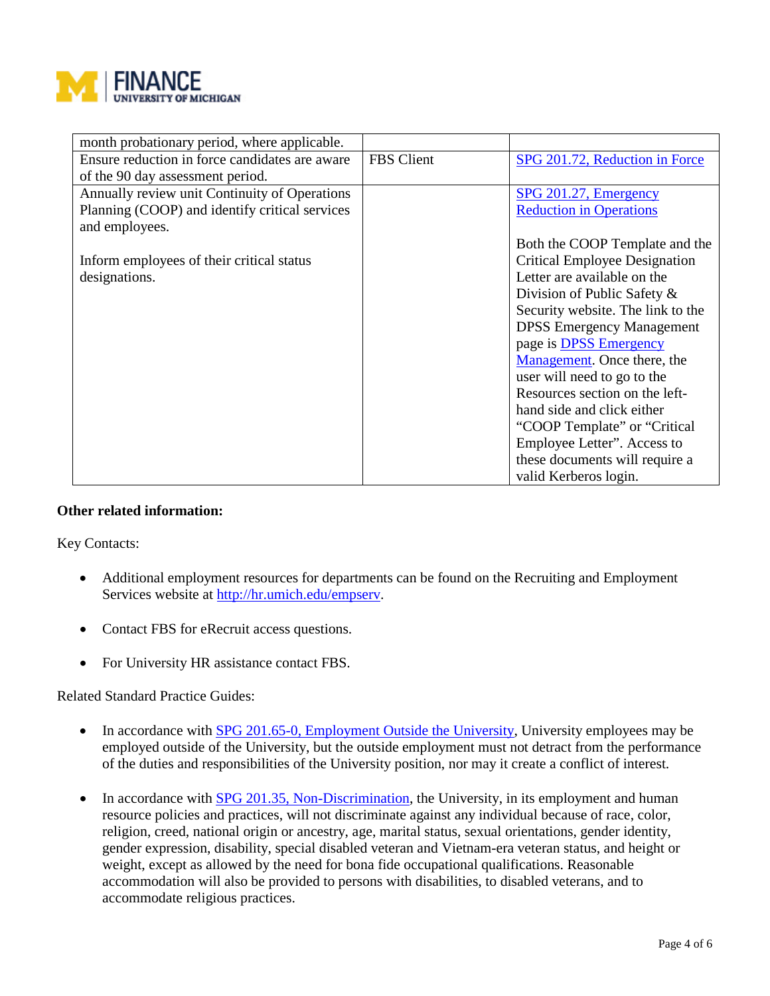

| month probationary period, where applicable.   |                   |                                      |
|------------------------------------------------|-------------------|--------------------------------------|
| Ensure reduction in force candidates are aware | <b>FBS</b> Client | SPG 201.72, Reduction in Force       |
| of the 90 day assessment period.               |                   |                                      |
| Annually review unit Continuity of Operations  |                   | SPG 201.27, Emergency                |
| Planning (COOP) and identify critical services |                   | <b>Reduction in Operations</b>       |
| and employees.                                 |                   |                                      |
|                                                |                   | Both the COOP Template and the       |
| Inform employees of their critical status      |                   | <b>Critical Employee Designation</b> |
| designations.                                  |                   | Letter are available on the          |
|                                                |                   | Division of Public Safety &          |
|                                                |                   | Security website. The link to the    |
|                                                |                   | <b>DPSS Emergency Management</b>     |
|                                                |                   | page is <b>DPSS</b> Emergency        |
|                                                |                   | Management. Once there, the          |
|                                                |                   | user will need to go to the          |
|                                                |                   | Resources section on the left-       |
|                                                |                   | hand side and click either           |
|                                                |                   | "COOP Template" or "Critical"        |
|                                                |                   | Employee Letter". Access to          |
|                                                |                   | these documents will require a       |
|                                                |                   | valid Kerberos login.                |

## **Other related information:**

Key Contacts:

- Additional employment resources for departments can be found on the Recruiting and Employment Services website at [http://hr.umich.edu/empserv.](http://hr.umich.edu/empserv)
- Contact FBS for eRecruit access questions.
- For University HR assistance contact FBS.

Related Standard Practice Guides:

- In accordance with **SPG** 201.65-0, Employment Outside the University, University employees may be employed outside of the University, but the outside employment must not detract from the performance of the duties and responsibilities of the University position, nor may it create a conflict of interest.
- In accordance with [SPG 201.35, Non-Discrimination,](http://spg.umich.edu/pdf/201.35.pdf) the University, in its employment and human resource policies and practices, will not discriminate against any individual because of race, color, religion, creed, national origin or ancestry, age, marital status, sexual orientations, gender identity, gender expression, disability, special disabled veteran and Vietnam-era veteran status, and height or weight, except as allowed by the need for bona fide occupational qualifications. Reasonable accommodation will also be provided to persons with disabilities, to disabled veterans, and to accommodate religious practices.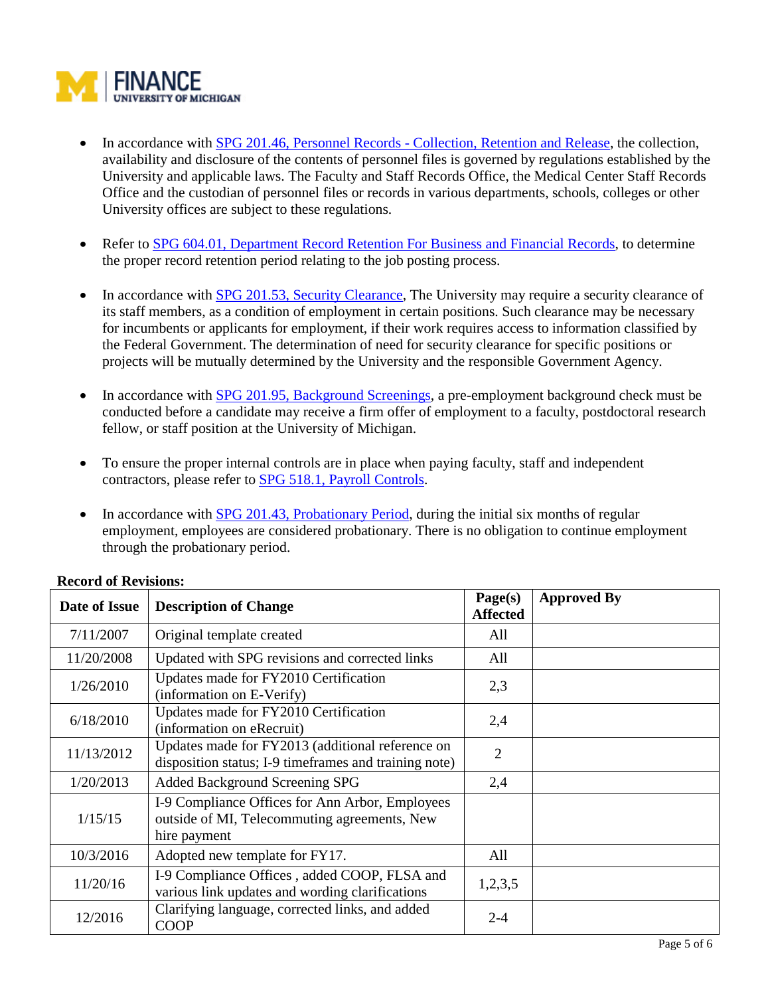

- In accordance with SPG 201.46, Personnel Records [Collection, Retention and Release,](http://spg.umich.edu/pdf/201.46.pdf) the collection, availability and disclosure of the contents of personnel files is governed by regulations established by the University and applicable laws. The Faculty and Staff Records Office, the Medical Center Staff Records Office and the custodian of personnel files or records in various departments, schools, colleges or other University offices are subject to these regulations.
- Refer to [SPG 604.01, Department Record Retention For Business and Financial Records,](http://spg.umich.edu/policy/604.01) to determine the proper record retention period relating to the job posting process.
- In accordance with [SPG 201.53, Security Clearance,](http://spg.umich.edu/pdf/201.53.pdf) The University may require a security clearance of its staff members, as a condition of employment in certain positions. Such clearance may be necessary for incumbents or applicants for employment, if their work requires access to information classified by the Federal Government. The determination of need for security clearance for specific positions or projects will be mutually determined by the University and the responsible Government Agency.
- In accordance with [SPG 201.95, Background Screenings,](http://spg.umich.edu/policy/201.95) a pre-employment background check must be conducted before a candidate may receive a firm offer of employment to a faculty, postdoctoral research fellow, or staff position at the University of Michigan.
- To ensure the proper internal controls are in place when paying faculty, staff and independent contractors, please refer to [SPG 518.1, Payroll Controls.](http://spg.umich.edu/pdf/518.01.pdf)
- In accordance with [SPG 201.43, Probationary Period,](http://spg.umich.edu/pdf/201.43.pdf) during the initial six months of regular employment, employees are considered probationary. There is no obligation to continue employment through the probationary period.

| Date of Issue | <b>Description of Change</b>                                                                                    | Page(s)<br><b>Affected</b> | <b>Approved By</b> |
|---------------|-----------------------------------------------------------------------------------------------------------------|----------------------------|--------------------|
| 7/11/2007     | Original template created                                                                                       | All                        |                    |
| 11/20/2008    | Updated with SPG revisions and corrected links                                                                  | All                        |                    |
| 1/26/2010     | Updates made for FY2010 Certification<br>(information on E-Verify)                                              | 2,3                        |                    |
| 6/18/2010     | Updates made for FY2010 Certification<br>(information on eRecruit)                                              | 2,4                        |                    |
| 11/13/2012    | Updates made for FY2013 (additional reference on<br>disposition status; I-9 timeframes and training note)       | $\overline{2}$             |                    |
| 1/20/2013     | Added Background Screening SPG                                                                                  | 2,4                        |                    |
| 1/15/15       | I-9 Compliance Offices for Ann Arbor, Employees<br>outside of MI, Telecommuting agreements, New<br>hire payment |                            |                    |
| 10/3/2016     | Adopted new template for FY17.                                                                                  | All                        |                    |
| 11/20/16      | I-9 Compliance Offices, added COOP, FLSA and<br>various link updates and wording clarifications                 | 1,2,3,5                    |                    |
| 12/2016       | Clarifying language, corrected links, and added<br><b>COOP</b>                                                  | $2 - 4$                    |                    |

## **Record of Revisions:**